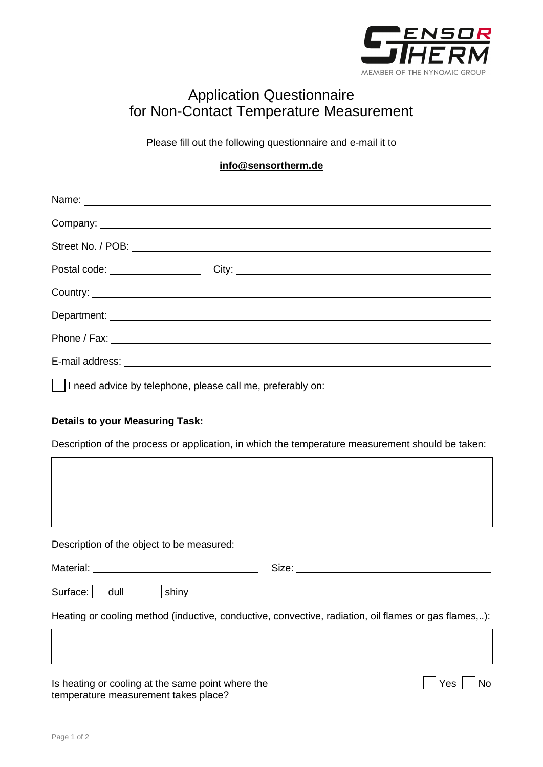

## Application Questionnaire for Non-Contact Temperature Measurement

Please fill out the following questionnaire and e-mail it to

## **[info@sensortherm.de](mailto:info@sensortherm.de)**

| I need advice by telephone, please call me, preferably on: _____________________                                                           |
|--------------------------------------------------------------------------------------------------------------------------------------------|
| <b>Details to your Measuring Task:</b><br>Description of the process or application, in which the temperature measurement should be taken: |
|                                                                                                                                            |
| Description of the object to be measured:                                                                                                  |
|                                                                                                                                            |
| Surface: dull shiny                                                                                                                        |
| Heating or cooling method (inductive, conductive, convective, radiation, oil flames or gas flames,):                                       |
|                                                                                                                                            |
| Is heating or cooling at the same point where the<br>Yes<br>No<br>temperature measurement takes place?                                     |